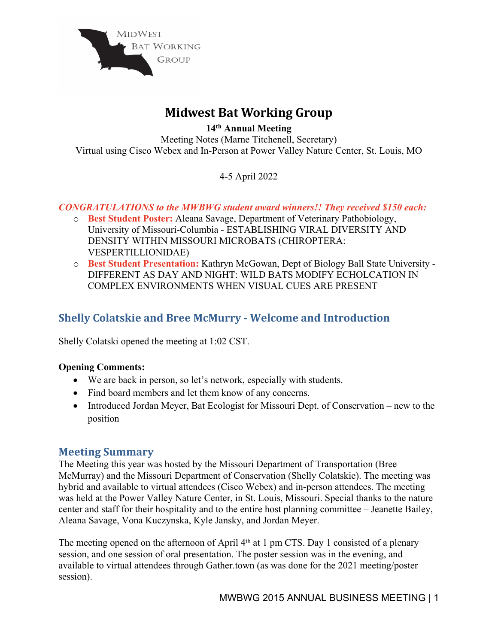

# **Midwest Bat Working Group**

**14 th Annual Meeting** Meeting Notes (Marne Titchenell, Secretary) Virtual using Cisco Webex and In-Person at Power Valley Nature Center, St. Louis, MO

4-5 April 2022

## *CONGRATULATIONS to the MWBWG student award winners!! They received \$150 each:*

- o **Best Student Poster:** Aleana Savage, Department of Veterinary Pathobiology, University of Missouri-Columbia *-* ESTABLISHING VIRAL DIVERSITY AND DENSITY WITHIN MISSOURI MICROBATS (CHIROPTERA: VESPERTILLIONIDAE)
- o **Best Student Presentation:** Kathryn McGowan, Dept of Biology Ball State University DIFFERENT AS DAY AND NIGHT: WILD BATS MODIFY ECHOLCATION IN COMPLEX ENVIRONMENTS WHEN VISUAL CUES ARE PRESENT

## **Shelly Colatskie and Bree McMurry - Welcome and Introduction**

Shelly Colatski opened the meeting at 1:02 CST.

### **Opening Comments:**

- We are back in person, so let's network, especially with students.
- Find board members and let them know of any concerns.
- Introduced Jordan Meyer, Bat Ecologist for Missouri Dept. of Conservation new to the position

## **Meeting Summary**

The Meeting this year was hosted by the Missouri Department of Transportation (Bree McMurray) and the Missouri Department of Conservation (Shelly Colatskie). The meeting was hybrid and available to virtual attendees (Cisco Webex) and in-person attendees. The meeting was held at the Power Valley Nature Center, in St. Louis, Missouri. Special thanks to the nature center and staff for their hospitality and to the entire host planning committee – Jeanette Bailey, Aleana Savage, Vona Kuczynska, Kyle Jansky, and Jordan Meyer.

The meeting opened on the afternoon of April 4<sup>th</sup> at 1 pm CTS. Day 1 consisted of a plenary session, and one session of oral presentation. The poster session was in the evening, and available to virtual attendees through Gather.town (as was done for the 2021 meeting/poster session).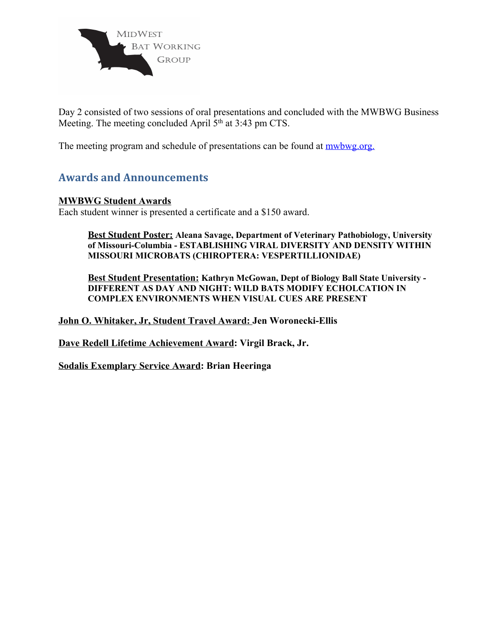

Day 2 consisted of two sessions of oral presentations and concluded with the MWBWG Business Meeting. The meeting concluded April 5<sup>th</sup> at 3:43 pm CTS.

The meeting program and schedule of presentations can be found at [mwbwg.org.](https://mwbwg.org/Awards-and-Scholarships)

## **Awards and Announcements**

#### **MWBWG Student Awards**

Each student winner is presented a certificate and a \$150 award.

**Best Student Poster: Aleana Savage, Department of Veterinary Pathobiology, University of Missouri-Columbia - ESTABLISHING VIRAL DIVERSITY AND DENSITY WITHIN MISSOURI MICROBATS (CHIROPTERA: VESPERTILLIONIDAE)**

**Best Student Presentation: Kathryn McGowan, Dept of Biology Ball State University - DIFFERENT AS DAY AND NIGHT: WILD BATS MODIFY ECHOLCATION IN COMPLEX ENVIRONMENTS WHEN VISUAL CUES ARE PRESENT**

**John O. Whitaker, Jr, Student Travel Award: Jen Woronecki-Ellis**

**Dave Redell Lifetime Achievement Award: Virgil Brack, Jr.**

**Sodalis Exemplary Service Award: Brian Heeringa**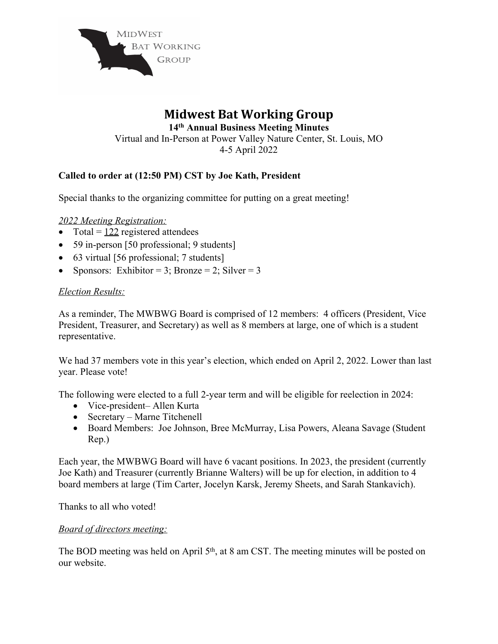

## **Midwest Bat Working Group 14 th Annual Business Meeting Minutes** Virtual and In-Person at Power Valley Nature Center, St. Louis, MO 4-5 April 2022

## **Called to order at (12:50 PM) CST by Joe Kath, President**

Special thanks to the organizing committee for putting on a great meeting!

#### *2022 Meeting Registration:*

- Total =  $122$  registered attendees
- 59 in-person [50 professional; 9 students]
- 63 virtual [56 professional; 7 students]
- Sponsors: Exhibitor = 3; Bronze = 2; Silver = 3

### *Election Results:*

As a reminder, The MWBWG Board is comprised of 12 members: 4 officers (President, Vice President, Treasurer, and Secretary) as well as 8 members at large, one of which is a student representative.

We had 37 members vote in this year's election, which ended on April 2, 2022. Lower than last year. Please vote!

The following were elected to a full 2-year term and will be eligible for reelection in 2024:

- Vice-president– Allen Kurta
- Secretary Marne Titchenell
- Board Members: Joe Johnson, Bree McMurray, Lisa Powers, Aleana Savage (Student Rep.)

Each year, the MWBWG Board will have 6 vacant positions. In 2023, the president (currently Joe Kath) and Treasurer (currently Brianne Walters) will be up for election, in addition to 4 board members at large (Tim Carter, Jocelyn Karsk, Jeremy Sheets, and Sarah Stankavich).

Thanks to all who voted!

#### *Board of directors meeting:*

The BOD meeting was held on April  $5<sup>th</sup>$ , at 8 am CST. The meeting minutes will be posted on our website.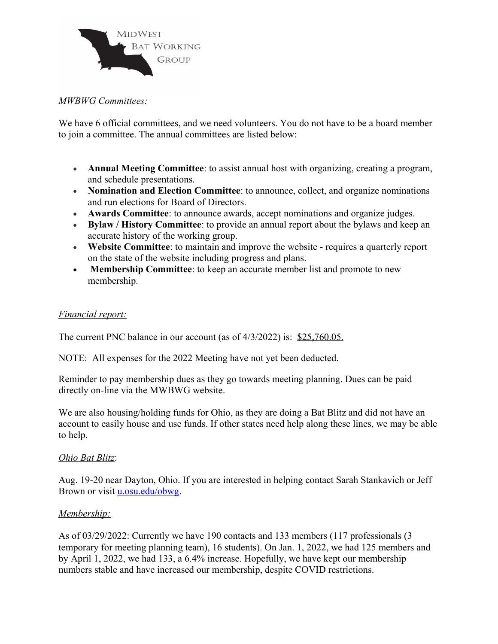

#### *MWBWG Committees:*

We have 6 official committees, and we need volunteers. You do not have to be a board member to join a committee. The annual committees are listed below:

- **Annual Meeting Committee**: to assist annual host with organizing, creating a program, and schedule presentations.
- **Nomination and Election Committee**: to announce, collect, and organize nominations and run elections for Board of Directors.
- **Awards Committee**: to announce awards, accept nominations and organize judges.
- **Bylaw / History Committee**: to provide an annual report about the bylaws and keep an accurate history of the working group.
- **Website Committee**: to maintain and improve the website requires a quarterly report on the state of the website including progress and plans.
- **Membership Committee**: to keep an accurate member list and promote to new membership.

#### *Financial report:*

The current PNC balance in our account (as of 4/3/2022) is: \$25,760.05.

NOTE: All expenses for the 2022 Meeting have not yet been deducted.

Reminder to pay membership dues as they go towards meeting planning. Dues can be paid directly on-line via the MWBWG website.

We are also housing/holding funds for Ohio, as they are doing a Bat Blitz and did not have an account to easily house and use funds. If other states need help along these lines, we may be able to help.

### *Ohio Bat Blitz*:

Aug. 19-20 near Dayton, Ohio. If you are interested in helping contact Sarah Stankavich or Jeff Brown or visit **u**.osu.edu/obwg.

### *Membership:*

As of 03/29/2022: Currently we have 190 contacts and 133 members (117 professionals (3 temporary for meeting planning team), 16 students). On Jan. 1, 2022, we had 125 members and by April 1, 2022, we had 133, a 6.4% increase. Hopefully, we have kept our membership numbers stable and have increased our membership, despite COVID restrictions.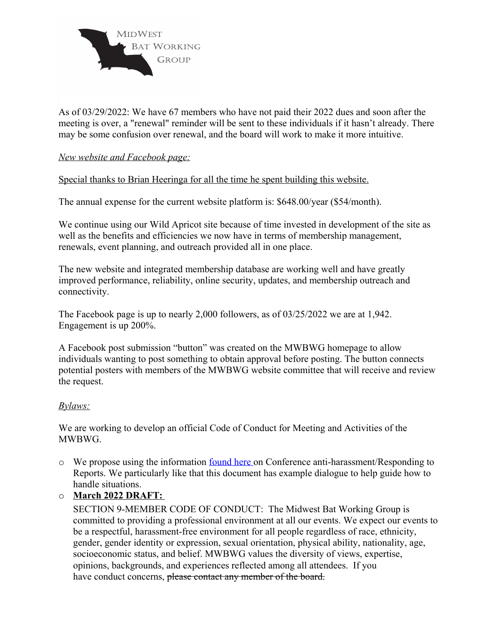

As of 03/29/2022: We have 67 members who have not paid their 2022 dues and soon after the meeting is over, a "renewal" reminder will be sent to these individuals if it hasn't already. There may be some confusion over renewal, and the board will work to make it more intuitive.

#### *New website and Facebook page:*

Special thanks to Brian Heeringa for all the time he spent building this website.

The annual expense for the current website platform is: \$648.00/year (\$54/month).

We continue using our Wild Apricot site because of time invested in development of the site as well as the benefits and efficiencies we now have in terms of membership management, renewals, event planning, and outreach provided all in one place.

The new website and integrated membership database are working well and have greatly improved performance, reliability, online security, updates, and membership outreach and connectivity.

The Facebook page is up to nearly 2,000 followers, as of 03/25/2022 we are at 1,942. Engagement is up 200%.

A Facebook post submission "button" was created on the MWBWG homepage to allow individuals wanting to post something to obtain approval before posting. The button connects potential posters with members of the MWBWG website committee that will receive and review the request.

#### *Bylaws:*

We are working to develop an official Code of Conduct for Meeting and Activities of the MWBWG.

- o We propose using the information [found](https://secure-web.cisco.com/16ppWeDRnhgft6vAntLkFX6-ifs2bB1AtsN0ri1q1HyChFE2q4lNPOoe9sfGpRrLYqiANbhTqaKaSj1q6d3nxOjR9M_awyr8gQibcdXZyQbcDEi6_T4JNk2sC8_SpJ5WlQ1fWCpgevYd1-vUvRuaemMtQ3JRoj724SUPIhPpjibp0pu5Dcu4-NV6hcFSBoNFN5krw72GM-3L6JCIhGSvQs5uCbK4fuTsh) here on Conference anti-harassment/Responding to Reports. We particularly like that this document has example dialogue to help guide how to handle situations.
- o **March 2022 DRAFT:**

SECTION 9-MEMBER CODE OF CONDUCT: The Midwest Bat Working Group is committed to providing a professional environment at all our events. We expect our events to be a respectful, harassment-free environment for all people regardless of race, ethnicity, gender, gender identity or expression, sexual orientation, physical ability, nationality, age, socioeconomic status, and belief. MWBWG values the diversity of views, expertise, opinions, backgrounds, and experiences reflected among all attendees. If you have conduct concerns, please contact any member of the board.